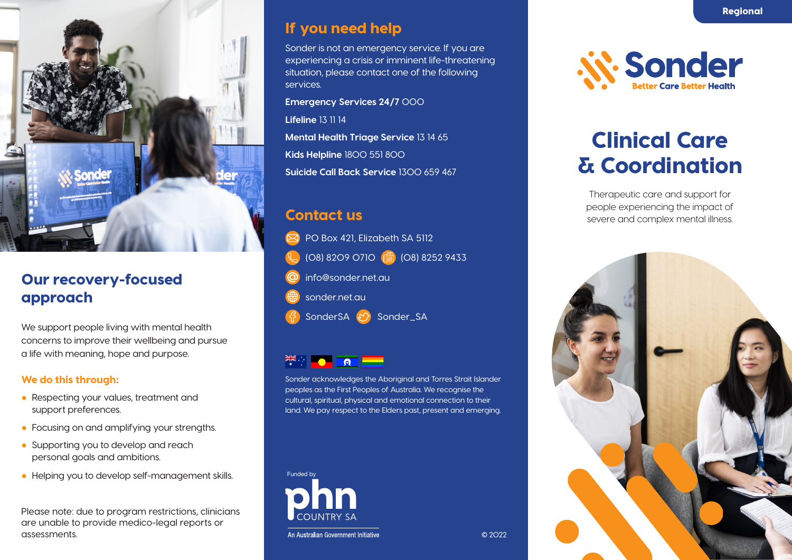

## Our recovery-focused approach

We support people living with mental health concerns to improve their wellbeing and pursue a life with meaning, hope and purpose.

#### We do this through:

- Respecting your values, treatment and support preferences.
- Focusing on and amplifying your strengths.
- Supporting you to develop and reach personal goals and ambitions.
- Helping you to develop self-management skills.

Please note: due to program restrictions, clinicians are unable to provide medico-legal reports or assessments.

### If you need help

Sonder is not an emergency service. If you are experiencing a crisis or imminent life-threatening situation, please contact one of the following services.

**Emergency Services 24/7** 000 **Lifeline** 13 11 14 **Mental Health Triage Service** 13 14 65 **Kids Helpline** 1800 551 800 **Suicide Call Back Service** 1300 659 467

### Contact us

PO Box 421, Elizabeth SA 5112 (08) 8209 0710 (208) 8252 9433 info@sonder.net.au sonder.net.au SonderSA (Y) Sonder\_SA

### $\tilde{\vec{z}}$   $\vec{z}$   $\vec{z}$   $\vec{z}$   $\vec{z}$   $\vec{z}$

Sonder acknowledges the Aboriginal and Torres Strait Islander peoples as the First Peoples of Australia. We recognise the cultural, spiritual, physical and emotional connection to their land. We pay respect to the Elders past, present and emerging.





# Clinical Care & Coordination

Therapeutic care and support for people experiencing the impact of severe and complex mental illness.